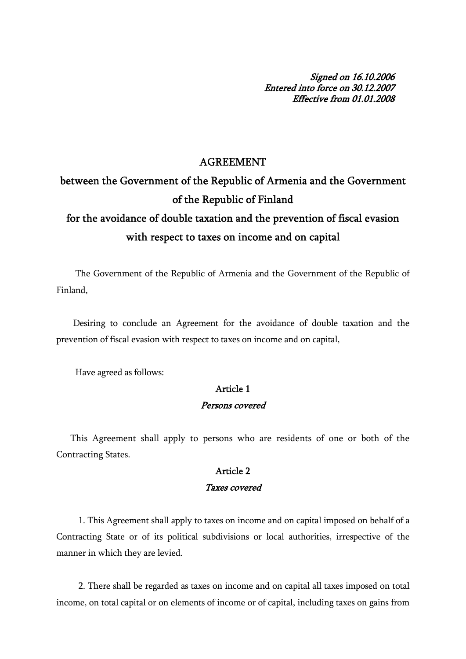Signed on 16.10.2006 Entered into force on 30.12.2007 Effective from 01.01.2008

#### AGREEMENT

between the Government of the Republic of Armenia and the Government of the Republic of Finland

# for the avoidance of double taxation and the prevention of fiscal evasion with respect to taxes on income and on capital

 The Government of the Republic of Armenia and the Government of the Republic of Finland,

 Desiring to conclude an Agreement for the avoidance of double taxation and the prevention of fiscal evasion with respect to taxes on income and on capital,

Have agreed as follows:

#### Article 1

#### Persons covered

 This Agreement shall apply to persons who are residents of one or both of the Contracting States.

#### Article 2

#### Taxes covered

 1. This Agreement shall apply to taxes on income and on capital imposed on behalf of a Contracting State or of its political subdivisions or local authorities, irrespective of the manner in which they are levied.

 2. There shall be regarded as taxes on income and on capital all taxes imposed on total income, on total capital or on elements of income or of capital, including taxes on gains from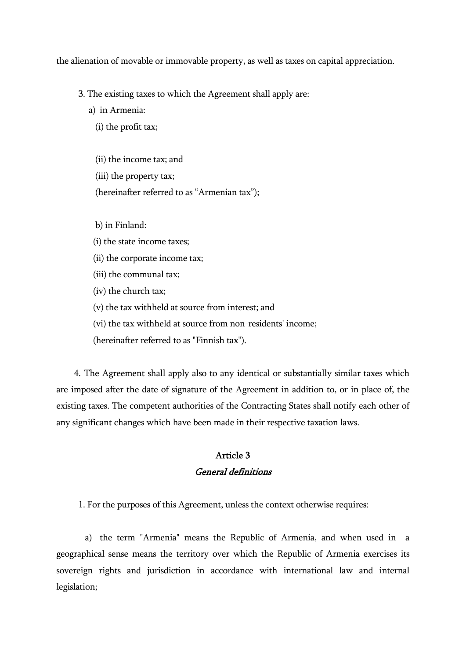the alienation of movable or immovable property, as well as taxes on capital appreciation.

3. The existing taxes to which the Agreement shall apply are:

a) in Armenia:

(i) the profit tax;

 (ii) the income tax; and (iii) the property tax; (hereinafter referred to as "Armenian tax");

b) in Finland:

(i) the state income taxes;

(ii) the corporate income tax;

(iii) the communal tax;

(iv) the church tax;

(v) the tax withheld at source from interest; and

(vi) the tax withheld at source from non-residents' income;

(hereinafter referred to as "Finnish tax").

 4. The Agreement shall apply also to any identical or substantially similar taxes which are imposed after the date of signature of the Agreement in addition to, or in place of, the existing taxes. The competent authorities of the Contracting States shall notify each other of any significant changes which have been made in their respective taxation laws.

#### Article 3 General definitions

1. For the purposes of this Agreement, unless the context otherwise requires:

 a) the term "Armenia" means the Republic of Armenia, and when used in a geographical sense means the territory over which the Republic of Armenia exercises its sovereign rights and jurisdiction in accordance with international law and internal legislation;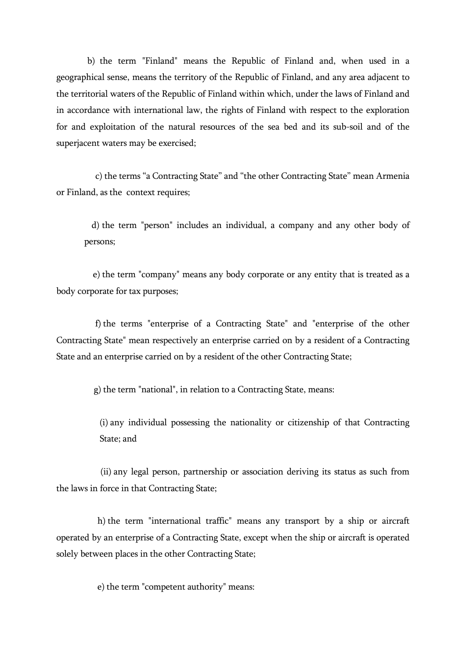b) the term "Finland" means the Republic of Finland and, when used in a geographical sense, means the territory of the Republic of Finland, and any area adjacent to the territorial waters of the Republic of Finland within which, under the laws of Finland and in accordance with international law, the rights of Finland with respect to the exploration for and exploitation of the natural resources of the sea bed and its sub-soil and of the superjacent waters may be exercised;

 c) the terms "a Contracting State" and "the other Contracting State" mean Armenia or Finland, as the context requires;

 d) the term "person" includes an individual, a company and any other body of persons;

 e) the term "company" means any body corporate or any entity that is treated as a body corporate for tax purposes;

 f) the terms "enterprise of a Contracting State" and "enterprise of the other Contracting State" mean respectively an enterprise carried on by a resident of a Contracting State and an enterprise carried on by a resident of the other Contracting State;

g) the term "national", in relation to a Contracting State, means:

 (i) any individual possessing the nationality or citizenship of that Contracting State; and

 (ii) any legal person, partnership or association deriving its status as such from the laws in force in that Contracting State;

 h) the term "international traffic" means any transport by a ship or aircraft operated by an enterprise of a Contracting State, except when the ship or aircraft is operated solely between places in the other Contracting State;

e) the term "competent authority" means: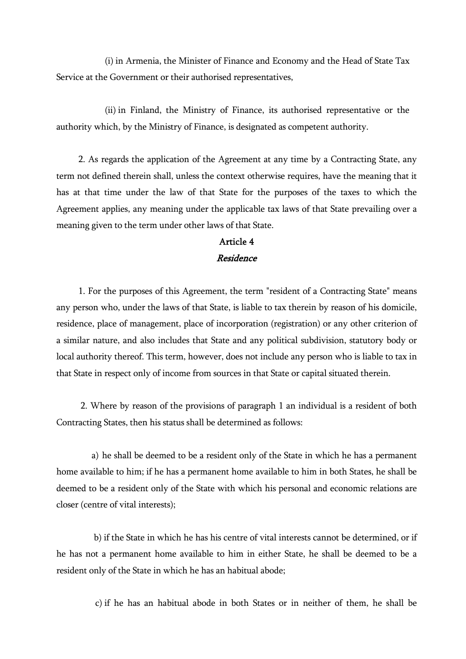(i) in Armenia, the Minister of Finance and Economy and the Head of State Tax Service at the Government or their authorised representatives,

 (ii) in Finland, the Ministry of Finance, its authorised representative or the authority which, by the Ministry of Finance, is designated as competent authority.

 2. As regards the application of the Agreement at any time by a Contracting State, any term not defined therein shall, unless the context otherwise requires, have the meaning that it has at that time under the law of that State for the purposes of the taxes to which the Agreement applies, any meaning under the applicable tax laws of that State prevailing over a meaning given to the term under other laws of that State.

# Article 4

#### Residence

 1. For the purposes of this Agreement, the term "resident of a Contracting State" means any person who, under the laws of that State, is liable to tax therein by reason of his domicile, residence, place of management, place of incorporation (registration) or any other criterion of a similar nature, and also includes that State and any political subdivision, statutory body or local authority thereof. This term, however, does not include any person who is liable to tax in that State in respect only of income from sources in that State or capital situated therein.

 2. Where by reason of the provisions of paragraph 1 an individual is a resident of both Contracting States, then his status shall be determined as follows:

 a) he shall be deemed to be a resident only of the State in which he has a permanent home available to him; if he has a permanent home available to him in both States, he shall be deemed to be a resident only of the State with which his personal and economic relations are closer (centre of vital interests);

 b) if the State in which he has his centre of vital interests cannot be determined, or if he has not a permanent home available to him in either State, he shall be deemed to be a resident only of the State in which he has an habitual abode;

c) if he has an habitual abode in both States or in neither of them, he shall be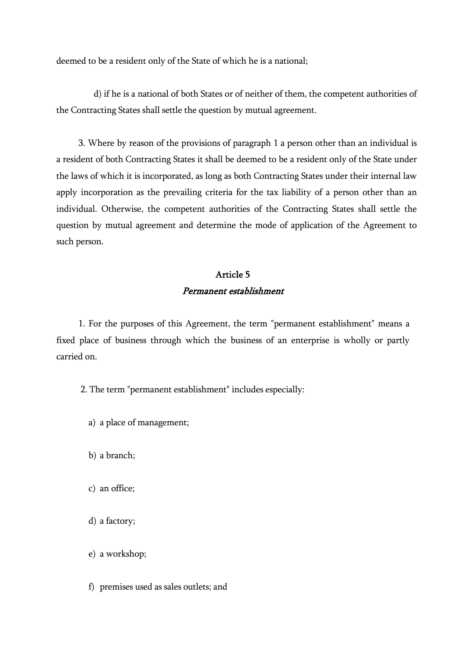deemed to be a resident only of the State of which he is a national;

 d) if he is a national of both States or of neither of them, the competent authorities of the Contracting States shall settle the question by mutual agreement.

 3. Where by reason of the provisions of paragraph 1 a person other than an individual is a resident of both Contracting States it shall be deemed to be a resident only of the State under the laws of which it is incorporated, as long as both Contracting States under their internal law apply incorporation as the prevailing criteria for the tax liability of a person other than an individual. Otherwise, the competent authorities of the Contracting States shall settle the question by mutual agreement and determine the mode of application of the Agreement to such person.

# Article 5 Permanent establishment

 1. For the purposes of this Agreement, the term "permanent establishment" means a fixed place of business through which the business of an enterprise is wholly or partly carried on.

2. The term "permanent establishment" includes especially:

- a) a place of management;
- b) a branch;
- c) an office;
- d) a factory;
- e) a workshop;
- f) premises used as sales outlets; and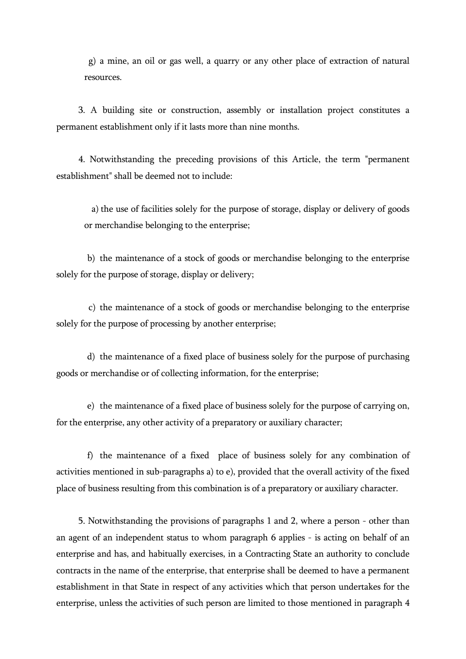g) a mine, an oil or gas well, a quarry or any other place of extraction of natural resources.

 3. A building site or construction, assembly or installation project constitutes a permanent establishment only if it lasts more than nine months.

 4. Notwithstanding the preceding provisions of this Article, the term "permanent establishment" shall be deemed not to include:

 a) the use of facilities solely for the purpose of storage, display or delivery of goods or merchandise belonging to the enterprise;

 b) the maintenance of a stock of goods or merchandise belonging to the enterprise solely for the purpose of storage, display or delivery;

 c) the maintenance of a stock of goods or merchandise belonging to the enterprise solely for the purpose of processing by another enterprise;

 d) the maintenance of a fixed place of business solely for the purpose of purchasing goods or merchandise or of collecting information, for the enterprise;

 e) the maintenance of a fixed place of business solely for the purpose of carrying on, for the enterprise, any other activity of a preparatory or auxiliary character;

 f) the maintenance of a fixed place of business solely for any combination of activities mentioned in sub-paragraphs a) to e), provided that the overall activity of the fixed place of business resulting from this combination is of a preparatory or auxiliary character.

 5. Notwithstanding the provisions of paragraphs 1 and 2, where a person - other than an agent of an independent status to whom paragraph 6 applies - is acting on behalf of an enterprise and has, and habitually exercises, in a Contracting State an authority to conclude contracts in the name of the enterprise, that enterprise shall be deemed to have a permanent establishment in that State in respect of any activities which that person undertakes for the enterprise, unless the activities of such person are limited to those mentioned in paragraph 4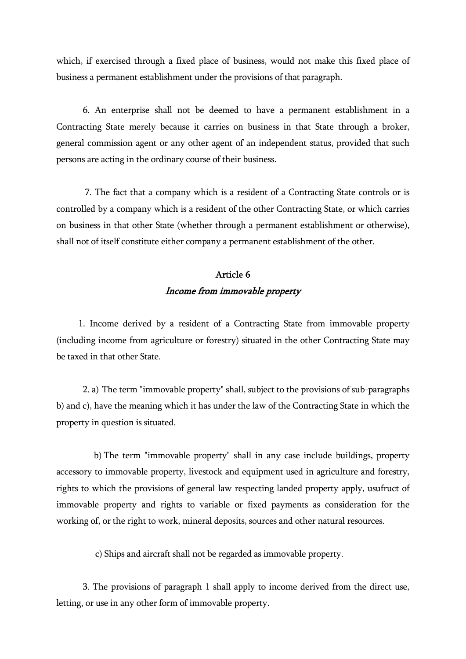which, if exercised through a fixed place of business, would not make this fixed place of business a permanent establishment under the provisions of that paragraph.

 6. An enterprise shall not be deemed to have a permanent establishment in a Contracting State merely because it carries on business in that State through a broker, general commission agent or any other agent of an independent status, provided that such persons are acting in the ordinary course of their business.

 7. The fact that a company which is a resident of a Contracting State controls or is controlled by a company which is a resident of the other Contracting State, or which carries on business in that other State (whether through a permanent establishment or otherwise), shall not of itself constitute either company a permanent establishment of the other.

# Article 6 Income from immovable property

 1. Income derived by a resident of a Contracting State from immovable property (including income from agriculture or forestry) situated in the other Contracting State may be taxed in that other State.

 2. a) The term "immovable property" shall, subject to the provisions of sub-paragraphs b) and c), have the meaning which it has under the law of the Contracting State in which the property in question is situated.

 b) The term "immovable property" shall in any case include buildings, property accessory to immovable property, livestock and equipment used in agriculture and forestry, rights to which the provisions of general law respecting landed property apply, usufruct of immovable property and rights to variable or fixed payments as consideration for the working of, or the right to work, mineral deposits, sources and other natural resources.

c) Ships and aircraft shall not be regarded as immovable property.

 3. The provisions of paragraph 1 shall apply to income derived from the direct use, letting, or use in any other form of immovable property.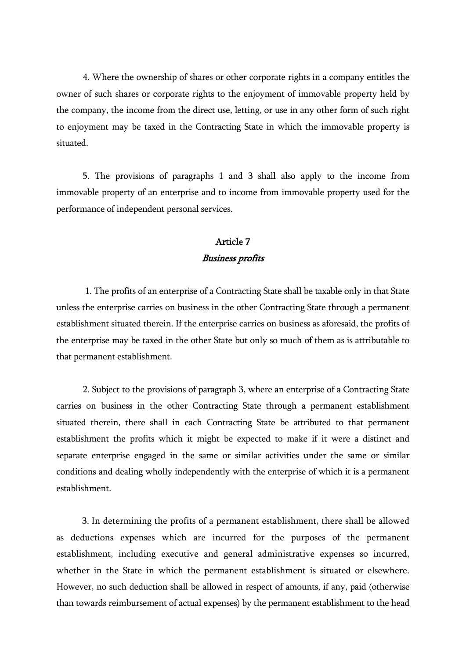4. Where the ownership of shares or other corporate rights in a company entitles the owner of such shares or corporate rights to the enjoyment of immovable property held by the company, the income from the direct use, letting, or use in any other form of such right to enjoyment may be taxed in the Contracting State in which the immovable property is situated.

 5. The provisions of paragraphs 1 and 3 shall also apply to the income from immovable property of an enterprise and to income from immovable property used for the performance of independent personal services.

#### Article 7 Business profits

 1. The profits of an enterprise of a Contracting State shall be taxable only in that State unless the enterprise carries on business in the other Contracting State through a permanent establishment situated therein. If the enterprise carries on business as aforesaid, the profits of the enterprise may be taxed in the other State but only so much of them as is attributable to that permanent establishment.

 2. Subject to the provisions of paragraph 3, where an enterprise of a Contracting State carries on business in the other Contracting State through a permanent establishment situated therein, there shall in each Contracting State be attributed to that permanent establishment the profits which it might be expected to make if it were a distinct and separate enterprise engaged in the same or similar activities under the same or similar conditions and dealing wholly independently with the enterprise of which it is a permanent establishment.

 3. In determining the profits of a permanent establishment, there shall be allowed as deductions expenses which are incurred for the purposes of the permanent establishment, including executive and general administrative expenses so incurred, whether in the State in which the permanent establishment is situated or elsewhere. However, no such deduction shall be allowed in respect of amounts, if any, paid (otherwise than towards reimbursement of actual expenses) by the permanent establishment to the head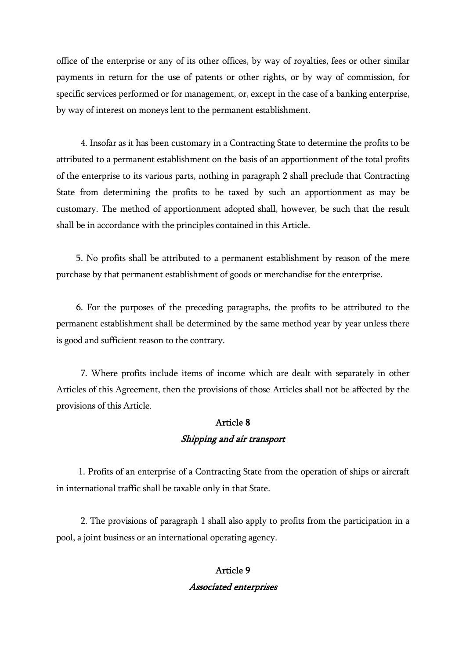office of the enterprise or any of its other offices, by way of royalties, fees or other similar payments in return for the use of patents or other rights, or by way of commission, for specific services performed or for management, or, except in the case of a banking enterprise, by way of interest on moneys lent to the permanent establishment.

 4. Insofar as it has been customary in a Contracting State to determine the profits to be attributed to a permanent establishment on the basis of an apportionment of the total profits of the enterprise to its various parts, nothing in paragraph 2 shall preclude that Contracting State from determining the profits to be taxed by such an apportionment as may be customary. The method of apportionment adopted shall, however, be such that the result shall be in accordance with the principles contained in this Article.

 5. No profits shall be attributed to a permanent establishment by reason of the mere purchase by that permanent establishment of goods or merchandise for the enterprise.

 6. For the purposes of the preceding paragraphs, the profits to be attributed to the permanent establishment shall be determined by the same method year by year unless there is good and sufficient reason to the contrary.

 7. Where profits include items of income which are dealt with separately in other Articles of this Agreement, then the provisions of those Articles shall not be affected by the provisions of this Article.

### Article 8 Shipping and air transport

 1. Profits of an enterprise of a Contracting State from the operation of ships or aircraft in international traffic shall be taxable only in that State.

 2. The provisions of paragraph 1 shall also apply to profits from the participation in a pool, a joint business or an international operating agency.

### Article 9 Associated enterprises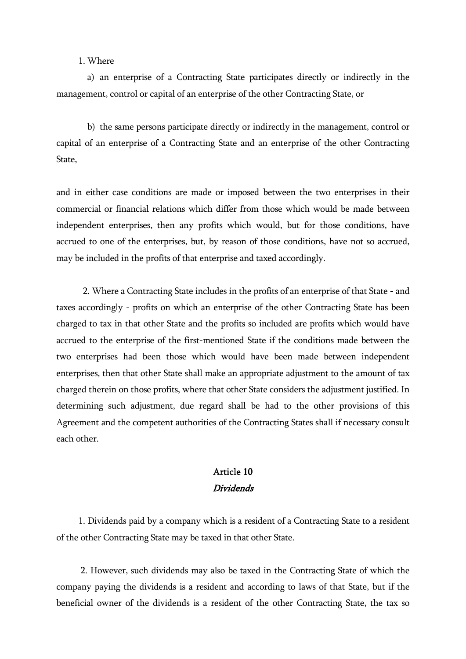1. Where

 a) an enterprise of a Contracting State participates directly or indirectly in the management, control or capital of an enterprise of the other Contracting State, or

 b) the same persons participate directly or indirectly in the management, control or capital of an enterprise of a Contracting State and an enterprise of the other Contracting State,

and in either case conditions are made or imposed between the two enterprises in their commercial or financial relations which differ from those which would be made between independent enterprises, then any profits which would, but for those conditions, have accrued to one of the enterprises, but, by reason of those conditions, have not so accrued, may be included in the profits of that enterprise and taxed accordingly.

 2. Where a Contracting State includes in the profits of an enterprise of that State - and taxes accordingly - profits on which an enterprise of the other Contracting State has been charged to tax in that other State and the profits so included are profits which would have accrued to the enterprise of the first-mentioned State if the conditions made between the two enterprises had been those which would have been made between independent enterprises, then that other State shall make an appropriate adjustment to the amount of tax charged therein on those profits, where that other State considers the adjustment justified. In determining such adjustment, due regard shall be had to the other provisions of this Agreement and the competent authorities of the Contracting States shall if necessary consult each other.

#### Article 10 Dividends

 1. Dividends paid by a company which is a resident of a Contracting State to a resident of the other Contracting State may be taxed in that other State.

 2. However, such dividends may also be taxed in the Contracting State of which the company paying the dividends is a resident and according to laws of that State, but if the beneficial owner of the dividends is a resident of the other Contracting State, the tax so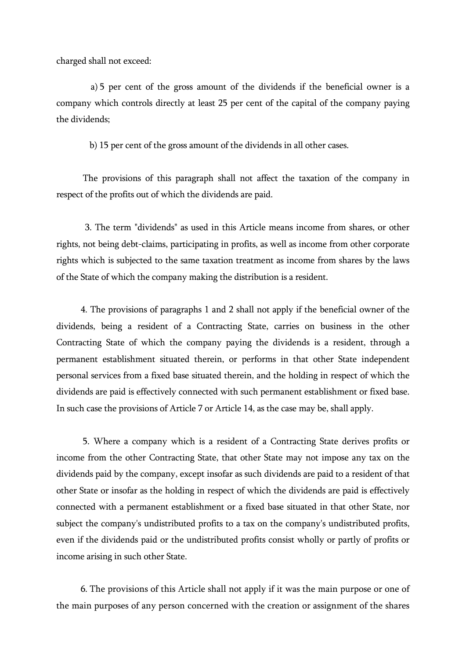charged shall not exceed:

 a) 5 per cent of the gross amount of the dividends if the beneficial owner is a company which controls directly at least 25 per cent of the capital of the company paying the dividends;

b) 15 per cent of the gross amount of the dividends in all other cases.

 The provisions of this paragraph shall not affect the taxation of the company in respect of the profits out of which the dividends are paid.

 3. The term "dividends" as used in this Article means income from shares, or other rights, not being debt-claims, participating in profits, as well as income from other corporate rights which is subjected to the same taxation treatment as income from shares by the laws of the State of which the company making the distribution is a resident.

 4. The provisions of paragraphs 1 and 2 shall not apply if the beneficial owner of the dividends, being a resident of a Contracting State, carries on business in the other Contracting State of which the company paying the dividends is a resident, through a permanent establishment situated therein, or performs in that other State independent personal services from a fixed base situated therein, and the holding in respect of which the dividends are paid is effectively connected with such permanent establishment or fixed base. In such case the provisions of Article 7 or Article 14, as the case may be, shall apply.

 5. Where a company which is a resident of a Contracting State derives profits or income from the other Contracting State, that other State may not impose any tax on the dividends paid by the company, except insofar as such dividends are paid to a resident of that other State or insofar as the holding in respect of which the dividends are paid is effectively connected with a permanent establishment or a fixed base situated in that other State, nor subject the company's undistributed profits to a tax on the company's undistributed profits, even if the dividends paid or the undistributed profits consist wholly or partly of profits or income arising in such other State.

 6. The provisions of this Article shall not apply if it was the main purpose or one of the main purposes of any person concerned with the creation or assignment of the shares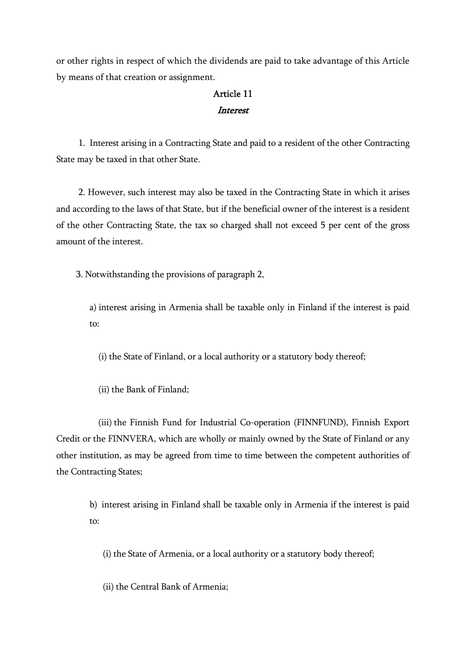or other rights in respect of which the dividends are paid to take advantage of this Article by means of that creation or assignment.

#### Article 11 **Interest**

 1. Interest arising in a Contracting State and paid to a resident of the other Contracting State may be taxed in that other State.

 2. However, such interest may also be taxed in the Contracting State in which it arises and according to the laws of that State, but if the beneficial owner of the interest is a resident of the other Contracting State, the tax so charged shall not exceed 5 per cent of the gross amount of the interest.

3. Notwithstanding the provisions of paragraph 2,

 a) interest arising in Armenia shall be taxable only in Finland if the interest is paid to:

(i) the State of Finland, or a local authority or a statutory body thereof;

(ii) the Bank of Finland;

 (iii) the Finnish Fund for Industrial Co-operation (FINNFUND), Finnish Export Credit or the FINNVERA, which are wholly or mainly owned by the State of Finland or any other institution, as may be agreed from time to time between the competent authorities of the Contracting States;

 b) interest arising in Finland shall be taxable only in Armenia if the interest is paid to:

(i) the State of Armenia, or a local authority or a statutory body thereof;

(ii) the Central Bank of Armenia;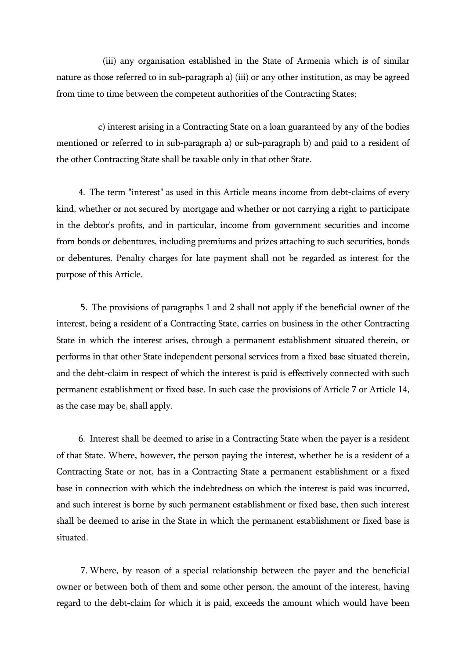(iii) any organisation established in the State of Armenia which is of similar nature as those referred to in sub-paragraph a) (iii) or any other institution, as may be agreed from time to time between the competent authorities of the Contracting States;

 c) interest arising in a Contracting State on a loan guaranteed by any of the bodies mentioned or referred to in sub-paragraph a) or sub-paragraph b) and paid to a resident of the other Contracting State shall be taxable only in that other State.

 4. The term "interest" as used in this Article means income from debt-claims of every kind, whether or not secured by mortgage and whether or not carrying a right to participate in the debtor's profits, and in particular, income from government securities and income from bonds or debentures, including premiums and prizes attaching to such securities, bonds or debentures. Penalty charges for late payment shall not be regarded as interest for the purpose of this Article.

 5. The provisions of paragraphs 1 and 2 shall not apply if the beneficial owner of the interest, being a resident of a Contracting State, carries on business in the other Contracting State in which the interest arises, through a permanent establishment situated therein, or performs in that other State independent personal services from a fixed base situated therein, and the debt-claim in respect of which the interest is paid is effectively connected with such permanent establishment or fixed base. In such case the provisions of Article 7 or Article 14, as the case may be, shall apply.

 6. Interest shall be deemed to arise in a Contracting State when the payer is a resident of that State. Where, however, the person paying the interest, whether he is a resident of a Contracting State or not, has in a Contracting State a permanent establishment or a fixed base in connection with which the indebtedness on which the interest is paid was incurred, and such interest is borne by such permanent establishment or fixed base, then such interest shall be deemed to arise in the State in which the permanent establishment or fixed base is situated.

 7. Where, by reason of a special relationship between the payer and the beneficial owner or between both of them and some other person, the amount of the interest, having regard to the debt-claim for which it is paid, exceeds the amount which would have been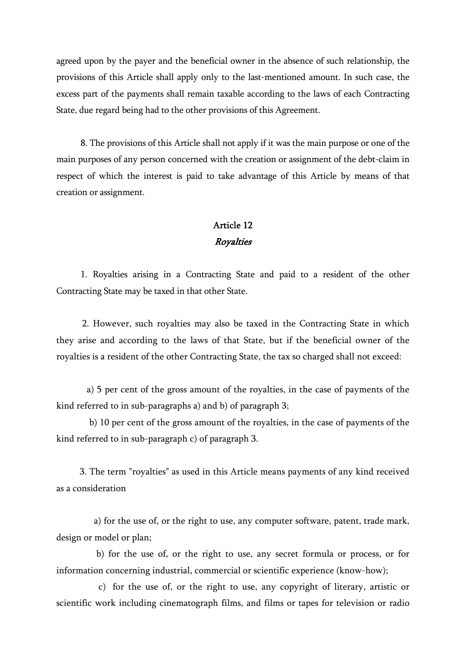agreed upon by the payer and the beneficial owner in the absence of such relationship, the provisions of this Article shall apply only to the last-mentioned amount. In such case, the excess part of the payments shall remain taxable according to the laws of each Contracting State, due regard being had to the other provisions of this Agreement.

 8. The provisions of this Article shall not apply if it was the main purpose or one of the main purposes of any person concerned with the creation or assignment of the debt-claim in respect of which the interest is paid to take advantage of this Article by means of that creation or assignment.

### Article 12 **Royalties**

 1. Royalties arising in a Contracting State and paid to a resident of the other Contracting State may be taxed in that other State.

 2. However, such royalties may also be taxed in the Contracting State in which they arise and according to the laws of that State, but if the beneficial owner of the royalties is a resident of the other Contracting State, the tax so charged shall not exceed:

 a) 5 per cent of the gross amount of the royalties, in the case of payments of the kind referred to in sub-paragraphs a) and b) of paragraph 3;

 b) 10 per cent of the gross amount of the royalties, in the case of payments of the kind referred to in sub-paragraph c) of paragraph 3.

 3. The term "royalties" as used in this Article means payments of any kind received as a consideration

 a) for the use of, or the right to use, any computer software, patent, trade mark, design or model or plan;

 b) for the use of, or the right to use, any secret formula or process, or for information concerning industrial, commercial or scientific experience (know-how);

 c) for the use of, or the right to use, any copyright of literary, artistic or scientific work including cinematograph films, and films or tapes for television or radio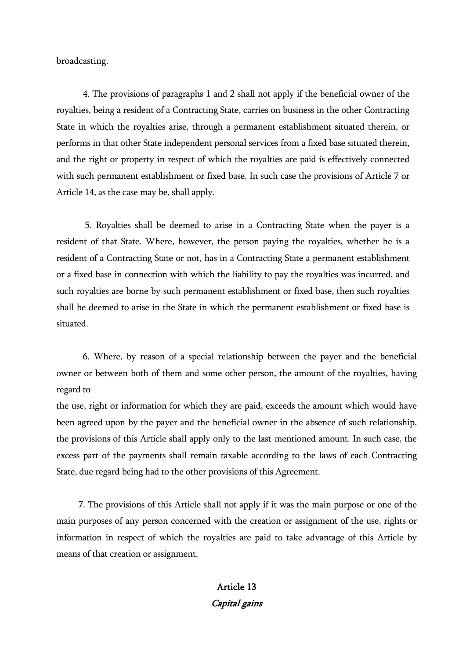broadcasting.

 4. The provisions of paragraphs 1 and 2 shall not apply if the beneficial owner of the royalties, being a resident of a Contracting State, carries on business in the other Contracting State in which the royalties arise, through a permanent establishment situated therein, or performs in that other State independent personal services from a fixed base situated therein, and the right or property in respect of which the royalties are paid is effectively connected with such permanent establishment or fixed base. In such case the provisions of Article 7 or Article 14, as the case may be, shall apply.

 5. Royalties shall be deemed to arise in a Contracting State when the payer is a resident of that State. Where, however, the person paying the royalties, whether he is a resident of a Contracting State or not, has in a Contracting State a permanent establishment or a fixed base in connection with which the liability to pay the royalties was incurred, and such royalties are borne by such permanent establishment or fixed base, then such royalties shall be deemed to arise in the State in which the permanent establishment or fixed base is situated.

 6. Where, by reason of a special relationship between the payer and the beneficial owner or between both of them and some other person, the amount of the royalties, having regard to

the use, right or information for which they are paid, exceeds the amount which would have been agreed upon by the payer and the beneficial owner in the absence of such relationship, the provisions of this Article shall apply only to the last-mentioned amount. In such case, the excess part of the payments shall remain taxable according to the laws of each Contracting State, due regard being had to the other provisions of this Agreement.

 7. The provisions of this Article shall not apply if it was the main purpose or one of the main purposes of any person concerned with the creation or assignment of the use, rights or information in respect of which the royalties are paid to take advantage of this Article by means of that creation or assignment.

## Article 13 Capital gains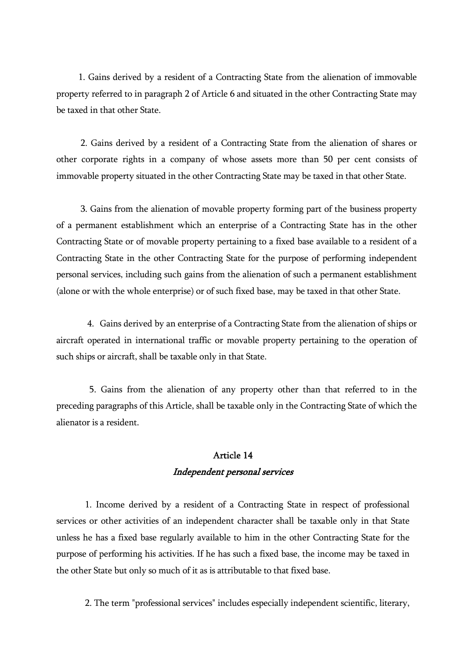1. Gains derived by a resident of a Contracting State from the alienation of immovable property referred to in paragraph 2 of Article 6 and situated in the other Contracting State may be taxed in that other State.

 2. Gains derived by a resident of a Contracting State from the alienation of shares or other corporate rights in a company of whose assets more than 50 per cent consists of immovable property situated in the other Contracting State may be taxed in that other State.

 3. Gains from the alienation of movable property forming part of the business property of a permanent establishment which an enterprise of a Contracting State has in the other Contracting State or of movable property pertaining to a fixed base available to a resident of a Contracting State in the other Contracting State for the purpose of performing independent personal services, including such gains from the alienation of such a permanent establishment (alone or with the whole enterprise) or of such fixed base, may be taxed in that other State.

 4. Gains derived by an enterprise of a Contracting State from the alienation of ships or aircraft operated in international traffic or movable property pertaining to the operation of such ships or aircraft, shall be taxable only in that State.

 5. Gains from the alienation of any property other than that referred to in the preceding paragraphs of this Article, shall be taxable only in the Contracting State of which the alienator is a resident.

### Article 14 Independent personal services

 1. Income derived by a resident of a Contracting State in respect of professional services or other activities of an independent character shall be taxable only in that State unless he has a fixed base regularly available to him in the other Contracting State for the purpose of performing his activities. If he has such a fixed base, the income may be taxed in the other State but only so much of it as is attributable to that fixed base.

2. The term "professional services" includes especially independent scientific, literary,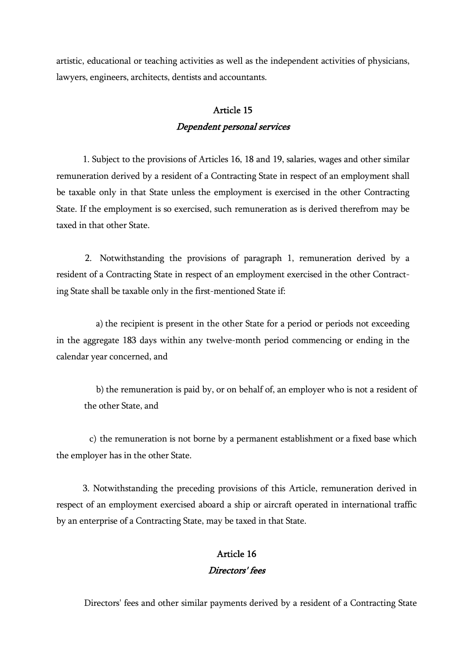artistic, educational or teaching activities as well as the independent activities of physicians, lawyers, engineers, architects, dentists and accountants.

### Article 15 Dependent personal services

 1. Subject to the provisions of Articles 16, 18 and 19, salaries, wages and other similar remuneration derived by a resident of a Contracting State in respect of an employment shall be taxable only in that State unless the employment is exercised in the other Contracting State. If the employment is so exercised, such remuneration as is derived therefrom may be taxed in that other State.

 2. Notwithstanding the provisions of paragraph 1, remuneration derived by a resident of a Contracting State in respect of an employment exercised in the other Contracting State shall be taxable only in the first-mentioned State if:

 a) the recipient is present in the other State for a period or periods not exceeding in the aggregate 183 days within any twelve-month period commencing or ending in the calendar year concerned, and

 b) the remuneration is paid by, or on behalf of, an employer who is not a resident of the other State, and

 c) the remuneration is not borne by a permanent establishment or a fixed base which the employer has in the other State.

 3. Notwithstanding the preceding provisions of this Article, remuneration derived in respect of an employment exercised aboard a ship or aircraft operated in international traffic by an enterprise of a Contracting State, may be taxed in that State.

## Article 16 Directors' fees

Directors' fees and other similar payments derived by a resident of a Contracting State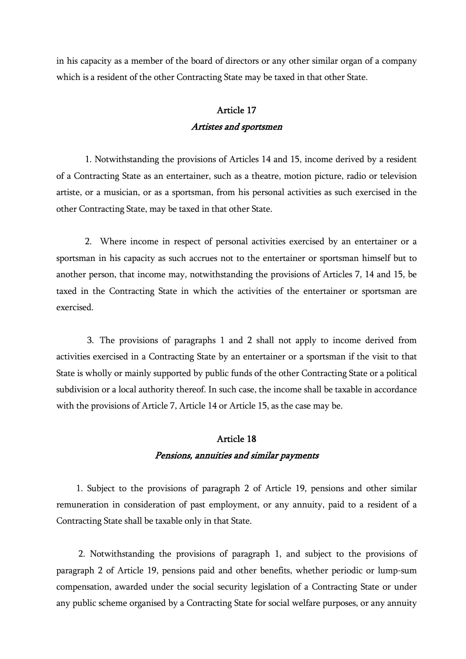in his capacity as a member of the board of directors or any other similar organ of a company which is a resident of the other Contracting State may be taxed in that other State.

### Article 17 Artistes and sportsmen

 1. Notwithstanding the provisions of Articles 14 and 15, income derived by a resident of a Contracting State as an entertainer, such as a theatre, motion picture, radio or television artiste, or a musician, or as a sportsman, from his personal activities as such exercised in the other Contracting State, may be taxed in that other State.

 2. Where income in respect of personal activities exercised by an entertainer or a sportsman in his capacity as such accrues not to the entertainer or sportsman himself but to another person, that income may, notwithstanding the provisions of Articles 7, 14 and 15, be taxed in the Contracting State in which the activities of the entertainer or sportsman are exercised.

 3. The provisions of paragraphs 1 and 2 shall not apply to income derived from activities exercised in a Contracting State by an entertainer or a sportsman if the visit to that State is wholly or mainly supported by public funds of the other Contracting State or a political subdivision or a local authority thereof. In such case, the income shall be taxable in accordance with the provisions of Article 7, Article 14 or Article 15, as the case may be.

### Article 18 Pensions, annuities and similar payments

 1. Subject to the provisions of paragraph 2 of Article 19, pensions and other similar remuneration in consideration of past employment, or any annuity, paid to a resident of a Contracting State shall be taxable only in that State.

 2. Notwithstanding the provisions of paragraph 1, and subject to the provisions of paragraph 2 of Article 19, pensions paid and other benefits, whether periodic or lump-sum compensation, awarded under the social security legislation of a Contracting State or under any public scheme organised by a Contracting State for social welfare purposes, or any annuity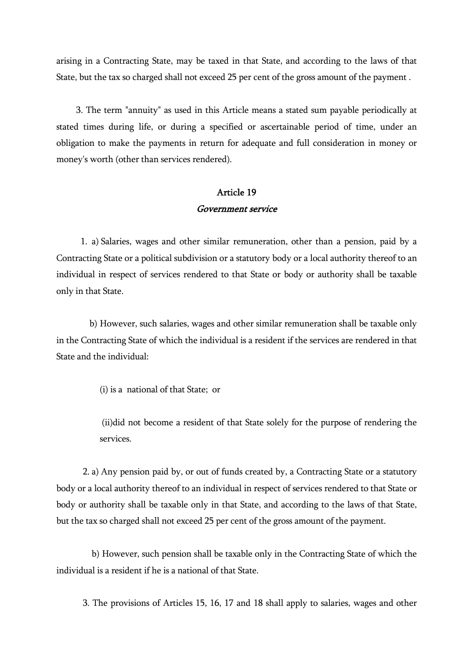arising in a Contracting State, may be taxed in that State, and according to the laws of that State, but the tax so charged shall not exceed 25 per cent of the gross amount of the payment .

 3. The term "annuity" as used in this Article means a stated sum payable periodically at stated times during life, or during a specified or ascertainable period of time, under an obligation to make the payments in return for adequate and full consideration in money or money's worth (other than services rendered).

#### Article 19 Government service

 1. a) Salaries, wages and other similar remuneration, other than a pension, paid by a Contracting State or a political subdivision or a statutory body or a local authority thereof to an individual in respect of services rendered to that State or body or authority shall be taxable only in that State.

 b) However, such salaries, wages and other similar remuneration shall be taxable only in the Contracting State of which the individual is a resident if the services are rendered in that State and the individual:

(i) is a national of that State; or

 (ii)did not become a resident of that State solely for the purpose of rendering the services.

 2. a) Any pension paid by, or out of funds created by, a Contracting State or a statutory body or a local authority thereof to an individual in respect of services rendered to that State or body or authority shall be taxable only in that State, and according to the laws of that State, but the tax so charged shall not exceed 25 per cent of the gross amount of the payment.

 b) However, such pension shall be taxable only in the Contracting State of which the individual is a resident if he is a national of that State.

3. The provisions of Articles 15, 16, 17 and 18 shall apply to salaries, wages and other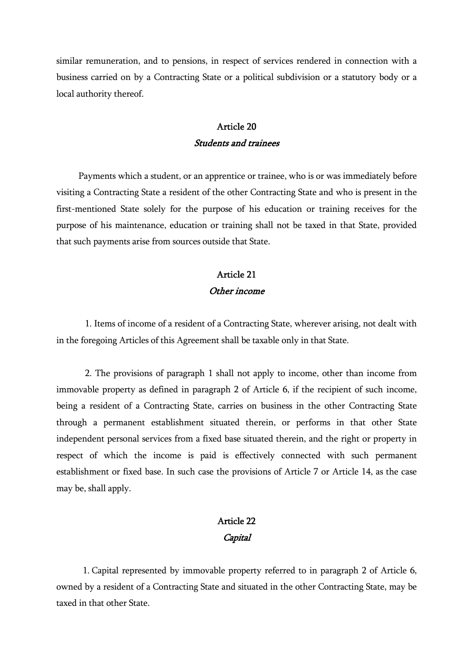similar remuneration, and to pensions, in respect of services rendered in connection with a business carried on by a Contracting State or a political subdivision or a statutory body or a local authority thereof.

#### Article 20 Students and trainees

 Payments which a student, or an apprentice or trainee, who is or was immediately before visiting a Contracting State a resident of the other Contracting State and who is present in the first-mentioned State solely for the purpose of his education or training receives for the purpose of his maintenance, education or training shall not be taxed in that State, provided that such payments arise from sources outside that State.

#### Article 21 Other income

 1. Items of income of a resident of a Contracting State, wherever arising, not dealt with in the foregoing Articles of this Agreement shall be taxable only in that State.

 2. The provisions of paragraph 1 shall not apply to income, other than income from immovable property as defined in paragraph 2 of Article 6, if the recipient of such income, being a resident of a Contracting State, carries on business in the other Contracting State through a permanent establishment situated therein, or performs in that other State independent personal services from a fixed base situated therein, and the right or property in respect of which the income is paid is effectively connected with such permanent establishment or fixed base. In such case the provisions of Article 7 or Article 14, as the case may be, shall apply.

# Article 22 **Capital**

 1. Capital represented by immovable property referred to in paragraph 2 of Article 6, owned by a resident of a Contracting State and situated in the other Contracting State, may be taxed in that other State.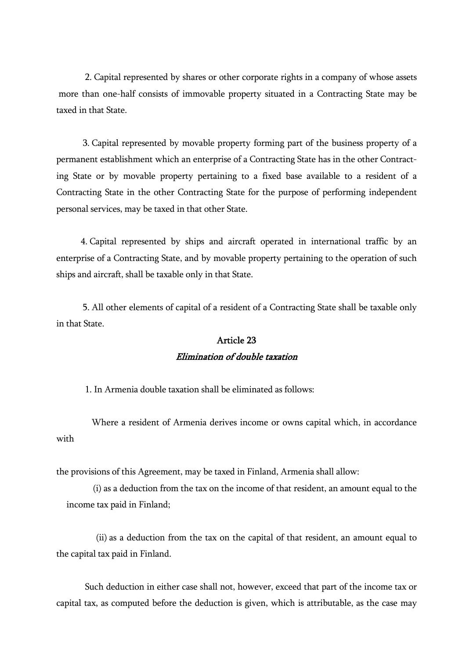2. Capital represented by shares or other corporate rights in a company of whose assets more than one-half consists of immovable property situated in a Contracting State may be taxed in that State.

 3. Capital represented by movable property forming part of the business property of a permanent establishment which an enterprise of a Contracting State has in the other Contracting State or by movable property pertaining to a fixed base available to a resident of a Contracting State in the other Contracting State for the purpose of performing independent personal services, may be taxed in that other State.

 4. Capital represented by ships and aircraft operated in international traffic by an enterprise of a Contracting State, and by movable property pertaining to the operation of such ships and aircraft, shall be taxable only in that State.

 5. All other elements of capital of a resident of a Contracting State shall be taxable only in that State.

### Article 23 Elimination of double taxation

1. In Armenia double taxation shall be eliminated as follows:

 Where a resident of Armenia derives income or owns capital which, in accordance with

the provisions of this Agreement, may be taxed in Finland, Armenia shall allow:

 (i) as a deduction from the tax on the income of that resident, an amount equal to the income tax paid in Finland;

 (ii) as a deduction from the tax on the capital of that resident, an amount equal to the capital tax paid in Finland.

 Such deduction in either case shall not, however, exceed that part of the income tax or capital tax, as computed before the deduction is given, which is attributable, as the case may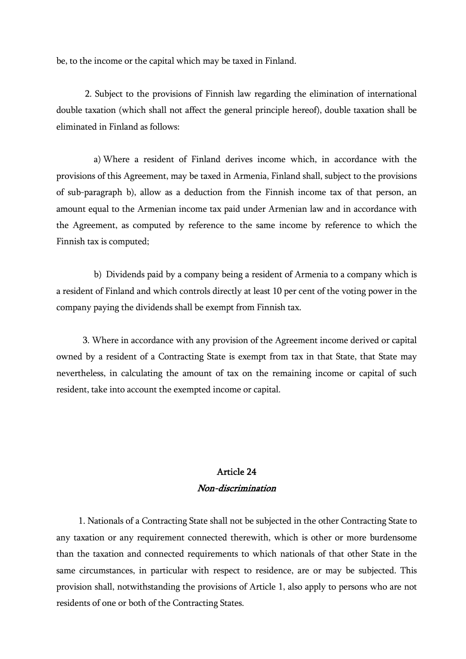be, to the income or the capital which may be taxed in Finland.

 2. Subject to the provisions of Finnish law regarding the elimination of international double taxation (which shall not affect the general principle hereof), double taxation shall be eliminated in Finland as follows:

 a) Where a resident of Finland derives income which, in accordance with the provisions of this Agreement, may be taxed in Armenia, Finland shall, subject to the provisions of sub-paragraph b), allow as a deduction from the Finnish income tax of that person, an amount equal to the Armenian income tax paid under Armenian law and in accordance with the Agreement, as computed by reference to the same income by reference to which the Finnish tax is computed;

 b) Dividends paid by a company being a resident of Armenia to a company which is a resident of Finland and which controls directly at least 10 per cent of the voting power in the company paying the dividends shall be exempt from Finnish tax.

 3. Where in accordance with any provision of the Agreement income derived or capital owned by a resident of a Contracting State is exempt from tax in that State, that State may nevertheless, in calculating the amount of tax on the remaining income or capital of such resident, take into account the exempted income or capital.

## Article 24 Non-discrimination

 1. Nationals of a Contracting State shall not be subjected in the other Contracting State to any taxation or any requirement connected therewith, which is other or more burdensome than the taxation and connected requirements to which nationals of that other State in the same circumstances, in particular with respect to residence, are or may be subjected. This provision shall, notwithstanding the provisions of Article 1, also apply to persons who are not residents of one or both of the Contracting States.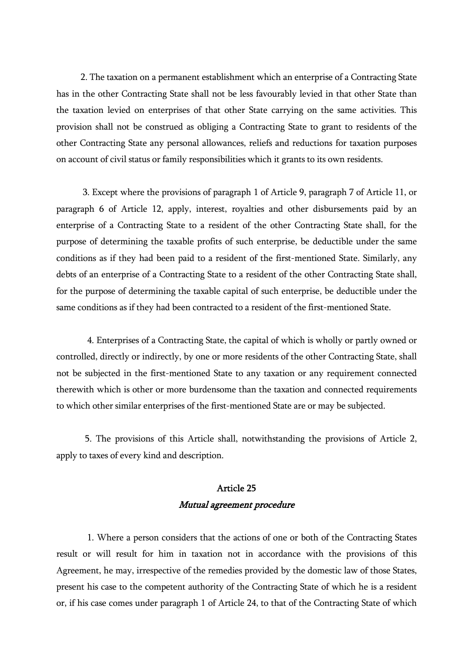2. The taxation on a permanent establishment which an enterprise of a Contracting State has in the other Contracting State shall not be less favourably levied in that other State than the taxation levied on enterprises of that other State carrying on the same activities. This provision shall not be construed as obliging a Contracting State to grant to residents of the other Contracting State any personal allowances, reliefs and reductions for taxation purposes on account of civil status or family responsibilities which it grants to its own residents.

 3. Except where the provisions of paragraph 1 of Article 9, paragraph 7 of Article 11, or paragraph 6 of Article 12, apply, interest, royalties and other disbursements paid by an enterprise of a Contracting State to a resident of the other Contracting State shall, for the purpose of determining the taxable profits of such enterprise, be deductible under the same conditions as if they had been paid to a resident of the first-mentioned State. Similarly, any debts of an enterprise of a Contracting State to a resident of the other Contracting State shall, for the purpose of determining the taxable capital of such enterprise, be deductible under the same conditions as if they had been contracted to a resident of the first-mentioned State.

 4. Enterprises of a Contracting State, the capital of which is wholly or partly owned or controlled, directly or indirectly, by one or more residents of the other Contracting State, shall not be subjected in the first-mentioned State to any taxation or any requirement connected therewith which is other or more burdensome than the taxation and connected requirements to which other similar enterprises of the first-mentioned State are or may be subjected.

 5. The provisions of this Article shall, notwithstanding the provisions of Article 2, apply to taxes of every kind and description.

# Article 25 Mutual agreement procedure

 1. Where a person considers that the actions of one or both of the Contracting States result or will result for him in taxation not in accordance with the provisions of this Agreement, he may, irrespective of the remedies provided by the domestic law of those States, present his case to the competent authority of the Contracting State of which he is a resident or, if his case comes under paragraph 1 of Article 24, to that of the Contracting State of which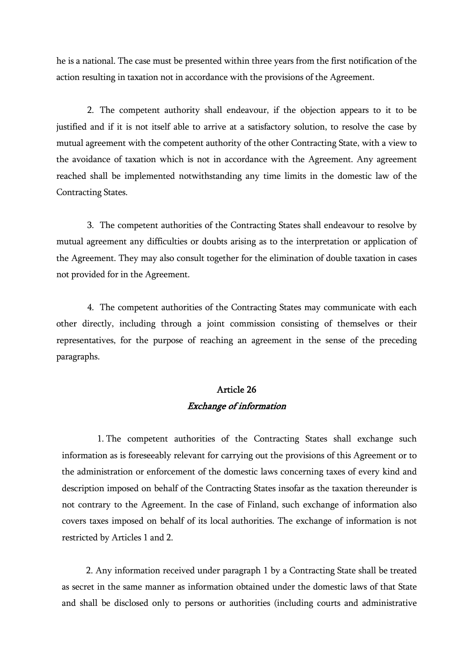he is a national. The case must be presented within three years from the first notification of the action resulting in taxation not in accordance with the provisions of the Agreement.

 2. The competent authority shall endeavour, if the objection appears to it to be justified and if it is not itself able to arrive at a satisfactory solution, to resolve the case by mutual agreement with the competent authority of the other Contracting State, with a view to the avoidance of taxation which is not in accordance with the Agreement. Any agreement reached shall be implemented notwithstanding any time limits in the domestic law of the Contracting States.

 3. The competent authorities of the Contracting States shall endeavour to resolve by mutual agreement any difficulties or doubts arising as to the interpretation or application of the Agreement. They may also consult together for the elimination of double taxation in cases not provided for in the Agreement.

 4. The competent authorities of the Contracting States may communicate with each other directly, including through a joint commission consisting of themselves or their representatives, for the purpose of reaching an agreement in the sense of the preceding paragraphs.

# Article 26 Exchange of information

 1. The competent authorities of the Contracting States shall exchange such information as is foreseeably relevant for carrying out the provisions of this Agreement or to the administration or enforcement of the domestic laws concerning taxes of every kind and description imposed on behalf of the Contracting States insofar as the taxation thereunder is not contrary to the Agreement. In the case of Finland, such exchange of information also covers taxes imposed on behalf of its local authorities. The exchange of information is not restricted by Articles 1 and 2.

 2. Any information received under paragraph 1 by a Contracting State shall be treated as secret in the same manner as information obtained under the domestic laws of that State and shall be disclosed only to persons or authorities (including courts and administrative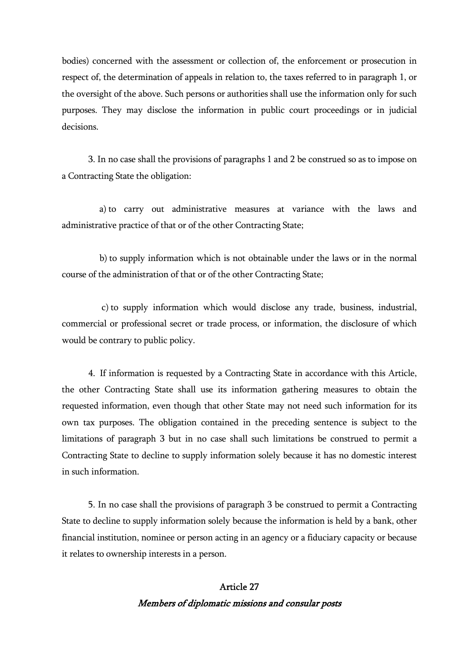bodies) concerned with the assessment or collection of, the enforcement or prosecution in respect of, the determination of appeals in relation to, the taxes referred to in paragraph 1, or the oversight of the above. Such persons or authorities shall use the information only for such purposes. They may disclose the information in public court proceedings or in judicial decisions.

 3. In no case shall the provisions of paragraphs 1 and 2 be construed so as to impose on a Contracting State the obligation:

 a) to carry out administrative measures at variance with the laws and administrative practice of that or of the other Contracting State;

 b) to supply information which is not obtainable under the laws or in the normal course of the administration of that or of the other Contracting State;

 c) to supply information which would disclose any trade, business, industrial, commercial or professional secret or trade process, or information, the disclosure of which would be contrary to public policy.

 4. If information is requested by a Contracting State in accordance with this Article, the other Contracting State shall use its information gathering measures to obtain the requested information, even though that other State may not need such information for its own tax purposes. The obligation contained in the preceding sentence is subject to the limitations of paragraph 3 but in no case shall such limitations be construed to permit a Contracting State to decline to supply information solely because it has no domestic interest in such information.

 5. In no case shall the provisions of paragraph 3 be construed to permit a Contracting State to decline to supply information solely because the information is held by a bank, other financial institution, nominee or person acting in an agency or a fiduciary capacity or because it relates to ownership interests in a person.

# Article 27 Members of diplomatic missions and consular posts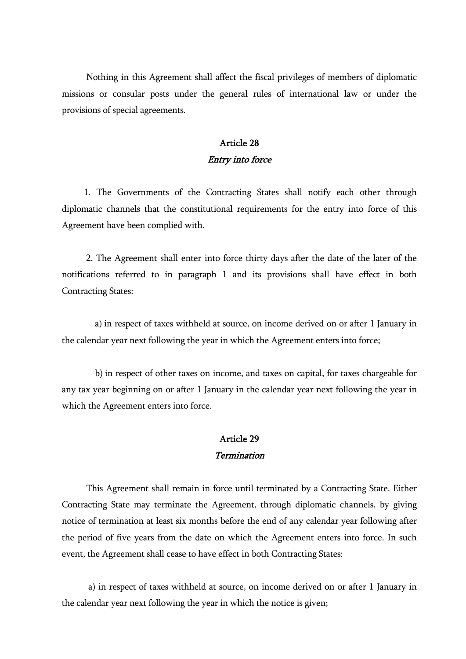Nothing in this Agreement shall affect the fiscal privileges of members of diplomatic missions or consular posts under the general rules of international law or under the provisions of special agreements.

### Article 28 Entry into force

 1. The Governments of the Contracting States shall notify each other through diplomatic channels that the constitutional requirements for the entry into force of this Agreement have been complied with.

 2. The Agreement shall enter into force thirty days after the date of the later of the notifications referred to in paragraph 1 and its provisions shall have effect in both Contracting States:

 a) in respect of taxes withheld at source, on income derived on or after 1 January in the calendar year next following the year in which the Agreement enters into force;

 b) in respect of other taxes on income, and taxes on capital, for taxes chargeable for any tax year beginning on or after 1 January in the calendar year next following the year in which the Agreement enters into force.

#### Article 29 Termination

 This Agreement shall remain in force until terminated by a Contracting State. Either Contracting State may terminate the Agreement, through diplomatic channels, by giving notice of termination at least six months before the end of any calendar year following after the period of five years from the date on which the Agreement enters into force. In such event, the Agreement shall cease to have effect in both Contracting States:

 a) in respect of taxes withheld at source, on income derived on or after 1 January in the calendar year next following the year in which the notice is given;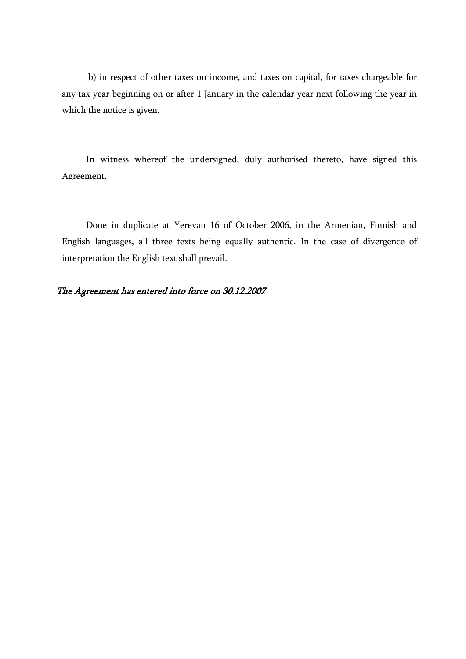b) in respect of other taxes on income, and taxes on capital, for taxes chargeable for any tax year beginning on or after 1 January in the calendar year next following the year in which the notice is given.

 In witness whereof the undersigned, duly authorised thereto, have signed this Agreement.

 Done in duplicate at Yerevan 16 of October 2006, in the Armenian, Finnish and English languages, all three texts being equally authentic. In the case of divergence of interpretation the English text shall prevail.

#### The Agreement has entered into force on 30.12.2007